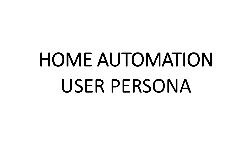# HOME AUTOMATION USER PERSONA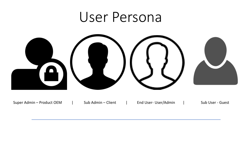# User Persona



Super Admin – Product OEM | Sub Admin – Client | End User- User/Admin | Sub User - Guest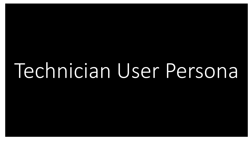# Technician User Persona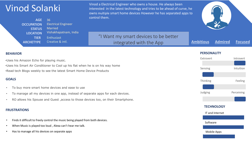# Vinod Solanki

| <b>AGE</b>        | 36                         |  |  |
|-------------------|----------------------------|--|--|
| <b>OCCUPATION</b> | <b>Electrical Engineer</b> |  |  |
| <b>STATUS</b>     | <b>Married</b>             |  |  |
| <b>LOCATION</b>   | Vishakhapatnam, India      |  |  |
| <b>TIER</b>       | Enthusiast                 |  |  |
| <b>ARCHETYPE</b>  | Creative & intl.           |  |  |

Vinod a Electrical Engineer who owns a house. He always been interested in the latest technology and tries to be ahead of curve, he owns multiple smart home devices However he has separated apps to control them.



**Ambitious Admired Focused**

"I Want my smart devices to be better integrated with the App

## **BEHAVIOR PERSONALITY**

•Uses his Amazon Echo for playing music.

•Uses his Smart Air Conditioner to Cool up his flat when he is on his way home •Read tech Blogs weekly to see the latest Smart Home Device Products

## **GOALS**

- To buy more smart home devices and ease to use
- To manage all my devices in one app, instead of separate apps for each devices.
- RO allows his Spouse and Guest ,access to those devices too, on their Smartphone.

### **FRUSTRATIONS**

- Finds it difficult to freely control the music being played from both devices.
- When Music is played too loud , Alexa can't hear me talk.
- Has to manage all his devices on separate apps

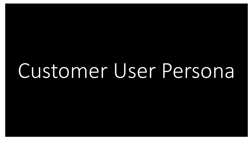Customer User Persona